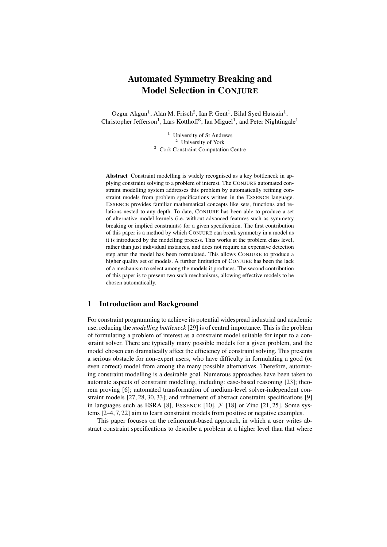# Automated Symmetry Breaking and Model Selection in CONJURE

Ozgur Akgun<sup>1</sup>, Alan M. Frisch<sup>2</sup>, Ian P. Gent<sup>1</sup>, Bilal Syed Hussain<sup>1</sup>, Christopher Jefferson<sup>1</sup>, Lars Kotthoff<sup>3</sup>, Ian Miguel<sup>1</sup>, and Peter Nightingale<sup>1</sup>

> <sup>1</sup> University of St Andrews <sup>2</sup> University of York <sup>3</sup> Cork Constraint Computation Centre

Abstract Constraint modelling is widely recognised as a key bottleneck in applying constraint solving to a problem of interest. The CONJURE automated constraint modelling system addresses this problem by automatically refining constraint models from problem specifications written in the ESSENCE language. ESSENCE provides familiar mathematical concepts like sets, functions and relations nested to any depth. To date, CONJURE has been able to produce a set of alternative model kernels (i.e. without advanced features such as symmetry breaking or implied constraints) for a given specification. The first contribution of this paper is a method by which CONJURE can break symmetry in a model as it is introduced by the modelling process. This works at the problem class level, rather than just individual instances, and does not require an expensive detection step after the model has been formulated. This allows CONJURE to produce a higher quality set of models. A further limitation of CONJURE has been the lack of a mechanism to select among the models it produces. The second contribution of this paper is to present two such mechanisms, allowing effective models to be chosen automatically.

## 1 Introduction and Background

For constraint programming to achieve its potential widespread industrial and academic use, reducing the *modelling bottleneck* [29] is of central importance. This is the problem of formulating a problem of interest as a constraint model suitable for input to a constraint solver. There are typically many possible models for a given problem, and the model chosen can dramatically affect the efficiency of constraint solving. This presents a serious obstacle for non-expert users, who have difficulty in formulating a good (or even correct) model from among the many possible alternatives. Therefore, automating constraint modelling is a desirable goal. Numerous approaches have been taken to automate aspects of constraint modelling, including: case-based reasoning [23]; theorem proving [6]; automated transformation of medium-level solver-independent constraint models [27, 28, 30, 33]; and refinement of abstract constraint specifications [9] in languages such as ESRA [8], ESSENCE [10],  $\mathcal{F}$  [18] or Zinc [21, 25]. Some systems [2–4, 7, 22] aim to learn constraint models from positive or negative examples.

This paper focuses on the refinement-based approach, in which a user writes abstract constraint specifications to describe a problem at a higher level than that where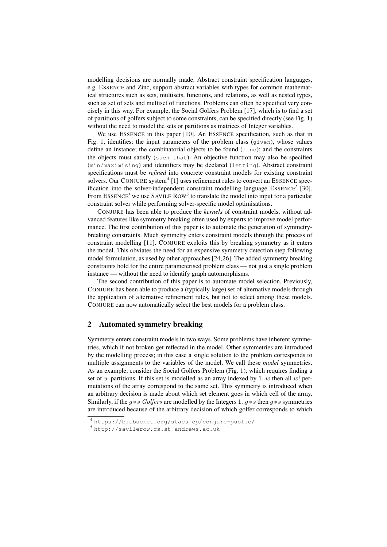modelling decisions are normally made. Abstract constraint specification languages, e.g. ESSENCE and Zinc, support abstract variables with types for common mathematical structures such as sets, multisets, functions, and relations, as well as nested types, such as set of sets and multiset of functions. Problems can often be specified very concisely in this way. For example, the Social Golfers Problem [17], which is to find a set of partitions of golfers subject to some constraints, can be specified directly (see Fig. 1) without the need to model the sets or partitions as matrices of Integer variables.

We use ESSENCE in this paper [10]. An ESSENCE specification, such as that in Fig. 1, identifies: the input parameters of the problem class (given), whose values define an instance; the combinatorial objects to be found (find); and the constraints the objects must satisfy (such that). An objective function may also be specified (min/maximising) and identifiers may be declared (letting). Abstract constraint specifications must be *refined* into concrete constraint models for existing constraint solvers. Our CONJURE system<sup>4</sup> [1] uses refinement rules to convert an ESSENCE specification into the solver-independent constraint modelling language ESSENCE' [30]. From ESSENCE' we use SAVILE ROW<sup>5</sup> to translate the model into input for a particular constraint solver while performing solver-specific model optimisations.

CONJURE has been able to produce the *kernels* of constraint models, without advanced features like symmetry breaking often used by experts to improve model performance. The first contribution of this paper is to automate the generation of symmetrybreaking constraints. Much symmetry enters constraint models through the process of constraint modelling [11]. CONJURE exploits this by breaking symmetry as it enters the model. This obviates the need for an expensive symmetry detection step following model formulation, as used by other approaches [24,26]. The added symmetry breaking constraints hold for the entire parameterised problem class — not just a single problem instance — without the need to identify graph automorphisms.

The second contribution of this paper is to automate model selection. Previously, CONJURE has been able to produce a (typically large) set of alternative models through the application of alternative refinement rules, but not to select among these models. CONJURE can now automatically select the best models for a problem class.

# 2 Automated symmetry breaking

Symmetry enters constraint models in two ways. Some problems have inherent symmetries, which if not broken get reflected in the model. Other symmetries are introduced by the modelling process; in this case a single solution to the problem corresponds to multiple assignments to the variables of the model. We call these *model* symmetries. As an example, consider the Social Golfers Problem (Fig. 1), which requires finding a set of w partitions. If this set is modelled as an array indexed by  $1..w$  then all w! permutations of the array correspond to the same set. This symmetry is introduced when an arbitrary decision is made about which set element goes in which cell of the array. Similarly, if the  $g * s$  Golfers are modelled by the Integers 1..g  $* s$  then  $g * s$  symmetries are introduced because of the arbitrary decision of which golfer corresponds to which

<sup>4</sup> https://bitbucket.org/stacs\_cp/conjure-public/

<sup>5</sup> http://savilerow.cs.st-andrews.ac.uk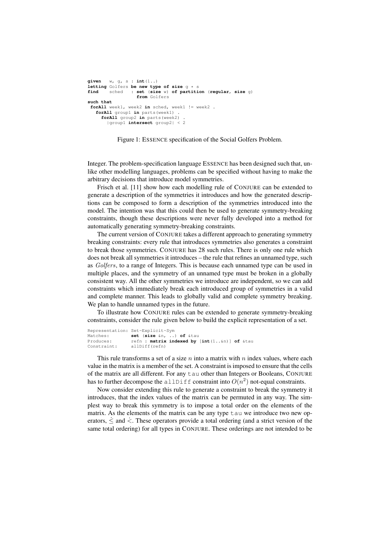```
given w, g, s : int(1..)
letting Golfers be new type of size g * s
find sched : set (size w) of partition (regular, size g)
                    from Golfers
such that
 forAll week1, week2 in sched, week1 != week2 .
   forAll group1 in parts(week1) .
     forAll group2 in parts(week2) .
        |group1 intersect group2| < 2
```
Figure 1: ESSENCE specification of the Social Golfers Problem.

Integer. The problem-specification language ESSENCE has been designed such that, unlike other modelling languages, problems can be specified without having to make the arbitrary decisions that introduce model symmetries.

Frisch et al. [11] show how each modelling rule of CONJURE can be extended to generate a description of the symmetries it introduces and how the generated descriptions can be composed to form a description of the symmetries introduced into the model. The intention was that this could then be used to generate symmetry-breaking constraints, though these descriptions were never fully developed into a method for automatically generating symmetry-breaking constraints.

The current version of CONJURE takes a different approach to generating symmetry breaking constraints: every rule that introduces symmetries also generates a constraint to break those symmetries. CONJURE has 28 such rules. There is only one rule which does not break all symmetries it introduces – the rule that refines an unnamed type, such as Golfers, to a range of Integers. This is because each unnamed type can be used in multiple places, and the symmetry of an unnamed type must be broken in a globally consistent way. All the other symmetries we introduce are independent, so we can add constraints which immediately break each introduced group of symmetries in a valid and complete manner. This leads to globally valid and complete symmetry breaking. We plan to handle unnamed types in the future.

To illustrate how CONJURE rules can be extended to generate symmetry-breaking constraints, consider the rule given below to build the explicit representation of a set.

```
Representation: Set~Explicit~Sym
Matches: set (size &n, ..) of &tau
              refn : matrix indexed by [int(1..&n)] of &tau
Constraint: allDiff(refn)
```
This rule transforms a set of a size  $n$  into a matrix with  $n$  index values, where each value in the matrix is a member of the set. A constraint is imposed to ensure that the cells of the matrix are all different. For any tau other than Integers or Booleans, CONJURE has to further decompose the allDiff constraint into  $O(n^2)$  not-equal constraints.

Now consider extending this rule to generate a constraint to break the symmetry it introduces, that the index values of the matrix can be permuted in any way. The simplest way to break this symmetry is to impose a total order on the elements of the matrix. As the elements of the matrix can be any type tau we introduce two new operators,  $\leq$  and  $\leq$ . These operators provide a total ordering (and a strict version of the same total ordering) for all types in CONJURE. These orderings are not intended to be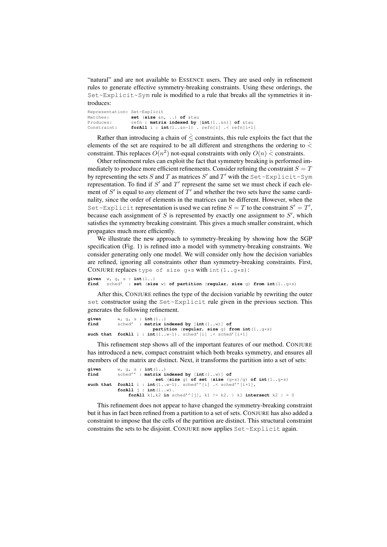"natural" and are not available to ESSENCE users. They are used only in refinement rules to generate effective symmetry-breaking constraints. Using these orderings, the Set~Explicit~Sym rule is modified to a rule that breaks all the symmetries it introduces:

Representation: Set~Explicit Matches: **set** (**size** &n, ..) **of** &tau  $refn$ : **matrix indexed by** [int(1..&n)] of &tau Constraint: **forAll** i : **int**(1..&n-1) . refn[i] .< refn[i+1]

Rather than introducing a chain of  $\leq$  constraints, this rule exploits the fact that the elements of the set are required to be all different and strengthens the ordering to  $\dot{\le}$ constraint. This replaces  $O(n^2)$  not-equal constraints with only  $O(n) \leq \text{constraints}$ .

Other refinement rules can exploit the fact that symmetry breaking is performed immediately to produce more efficient refinements. Consider refining the constraint  $S = T$ by representing the sets S and T as matrices S' and T' with the Set~Explicit~Sym representation. To find if  $S'$  and  $T'$  represent the same set we must check if each element of  $S'$  is equal to *any* element of  $T'$  and whether the two sets have the same cardinality, since the order of elements in the matrices can be different. However, when the Set~Explicit representation is used we can refine  $S = T$  to the constraint  $S' = T'$ , because each assignment of  $S$  is represented by exactly one assignment to  $S'$ , which satisfies the symmetry breaking constraint. This gives a much smaller constraint, which propagates much more efficiently.

We illustrate the new approach to symmetry-breaking by showing how the SGP specification (Fig. 1) is refined into a model with symmetry-breaking constraints. We consider generating only one model. We will consider only how the decision variables are refined, ignoring all constraints other than symmetry-breaking constraints. First, CONJURE replaces type of size  $q*s$  with int(1.. $q*s$ ):

```
given w, g, s : int(1..)
find sched' : set (size w) of partition (regular, size g) from int(1..g*s)
```
After this, CONJURE refines the type of the decision variable by rewriting the outer set constructor using the Set~Explicit rule given in the previous section. This generates the following refinement.

```
given w, g, s : int(1..)
             find sched' : matrix indexed by [int(1..w)] of
partition (regular, size g) from int(1..g*s)<br>such that forAll i : int(1..w-1). sched'[i] .< sched'[i+1]
```
This refinement step shows all of the important features of our method. CONJURE has introduced a new, compact constraint which both breaks symmetry, and ensures all members of the matrix are distinct. Next, it transforms the partition into a set of sets:

```
given w, g, s : int(1..)
find sched'' : matrix indexed by [int(1..w)] of
                         set (size g) of set (size (g*s)/g) of int(1..g*s)
such that forAll i : int(1..w-1). sched''[i] .< sched''[i+1],
           forAll j : int(1..w).
               forAll k1, k2 in sched''[j], k1 != k2. | k1 intersect k2 |= 0
```
This refinement does not appear to have changed the symmetry-breaking constraint but it has in fact been refined from a partition to a set of sets. CONJURE has also added a constraint to impose that the cells of the partition are distinct. This structural constraint constrains the sets to be disjoint. CONJURE now applies  $Set \subseteq Explicit$  again.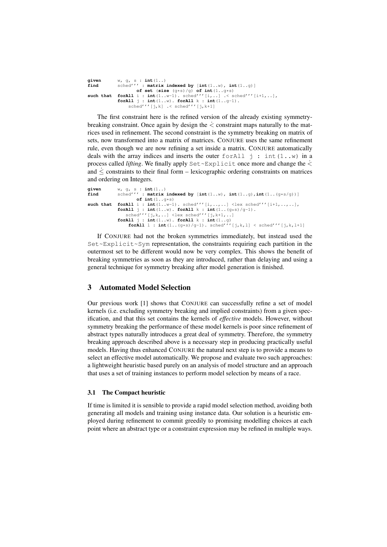```
given w, g, s : int(1..)
                        f: matrix indexed by [\text{int}(1..w), \text{int}(1..g)]of set (size (g*s)/g) of int(1..g*s)
such that forAll i : int(1..w-1). sched'''[i,..]. < sched'''[i+1,..],<br>forAll j : int(1..w). forAll k : int(1..g-1).
                  sched''' [j,k] . sched'''[j,k+1]
```
The first constraint here is the refined version of the already existing symmetrybreaking constraint. Once again by design the  $\leq$  constraint maps naturally to the matrices used in refinement. The second constraint is the symmetry breaking on matrix of sets, now transformed into a matrix of matrices. CONJURE uses the same refinement rule, even though we are now refining a set inside a matrix. CONJURE automatically deals with the array indices and inserts the outer for All  $j : int(1..w)$  in a process called *lifting*. We finally apply  $Set \sim Explicit$  once more and change the  $\leq$ and  $\dot{\le}$  constraints to their final form – lexicographic ordering constraints on matrices and ordering on Integers.

```
given w, g, s : int(1...)<br>find sched''' : matrix
find sched''' : matrix indexed by [\text{int}(1..\,w)], \text{int}(1..\,q), \text{int}(1..\,(q*s/q))]of int(1..\sqrt{q} s)<br>forAll i : int(1..\sqrt{q} - 1).
such that for all i : int(1..w-1). sched'''[i,..,..] <lex sched'''[i+1,..,..],
                 forAll j : int(1..w). forAll k : int(1..(g*s)/g-1).<br>
sched'''[j,k,..] <lex sched'''[j,k+1,..]
                 forAll j : int(1..w). forAll k : int(1..g)<br>
forAll l : int(1..(g*s)/g-1). sched'''[j,k,l] < sched'''[j,k,l+1]
```
If CONJURE had not the broken symmetries immediately, but instead used the Set~Explicit~Sym representation, the constraints requiring each partition in the outermost set to be different would now be very complex. This shows the benefit of breaking symmetries as soon as they are introduced, rather than delaying and using a general technique for symmetry breaking after model generation is finished.

# 3 Automated Model Selection

Our previous work [1] shows that CONJURE can successfully refine a set of model kernels (i.e. excluding symmetry breaking and implied constraints) from a given specification, and that this set contains the kernels of *effective* models. However, without symmetry breaking the performance of these model kernels is poor since refinement of abstract types naturally introduces a great deal of symmetry. Therefore, the symmetry breaking approach described above is a necessary step in producing practically useful models. Having thus enhanced CONJURE the natural next step is to provide a means to select an effective model automatically. We propose and evaluate two such approaches: a lightweight heuristic based purely on an analysis of model structure and an approach that uses a set of training instances to perform model selection by means of a race.

#### 3.1 The Compact heuristic

If time is limited it is sensible to provide a rapid model selection method, avoiding both generating all models and training using instance data. Our solution is a heuristic employed during refinement to commit greedily to promising modelling choices at each point where an abstract type or a constraint expression may be refined in multiple ways.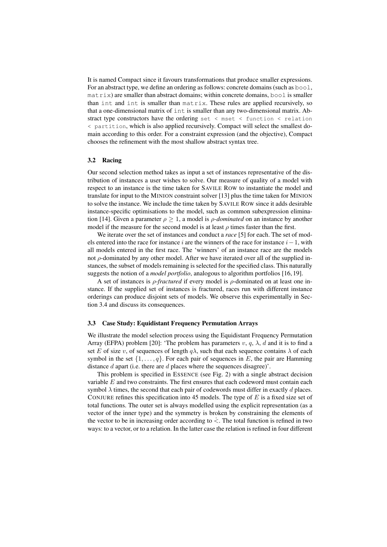It is named Compact since it favours transformations that produce smaller expressions. For an abstract type, we define an ordering as follows: concrete domains (such as  $b \circ \circ 1$ , matrix) are smaller than abstract domains; within concrete domains, bool is smaller than int and int is smaller than matrix. These rules are applied recursively, so that a one-dimensional matrix of int is smaller than any two-dimensional matrix. Abstract type constructors have the ordering set  $\langle$  mset  $\rangle$  function  $\langle$  relation < partition, which is also applied recursively. Compact will select the smallest domain according to this order. For a constraint expression (and the objective), Compact chooses the refinement with the most shallow abstract syntax tree.

#### 3.2 Racing

Our second selection method takes as input a set of instances representative of the distribution of instances a user wishes to solve. Our measure of quality of a model with respect to an instance is the time taken for SAVILE ROW to instantiate the model and translate for input to the MINION constraint solver [13] plus the time taken for MINION to solve the instance. We include the time taken by SAVILE ROW since it adds desirable instance-specific optimisations to the model, such as common subexpression elimination [14]. Given a parameter  $\rho > 1$ , a model is *ρ-dominated* on an instance by another model if the measure for the second model is at least  $\rho$  times faster than the first.

We iterate over the set of instances and conduct a *race* [5] for each. The set of models entered into the race for instance i are the winners of the race for instance  $i-1$ , with all models entered in the first race. The 'winners' of an instance race are the models not  $ρ$ -dominated by any other model. After we have iterated over all of the supplied instances, the subset of models remaining is selected for the specified class. This naturally suggests the notion of a *model portfolio*, analogous to algorithm portfolios [16, 19].

A set of instances is ρ*-fractured* if every model is ρ-dominated on at least one instance. If the supplied set of instances is fractured, races run with different instance orderings can produce disjoint sets of models. We observe this experimentally in Section 3.4 and discuss its consequences.

#### 3.3 Case Study: Equidistant Frequency Permutation Arrays

We illustrate the model selection process using the Equidistant Frequency Permutation Array (EFPA) problem [20]: 'The problem has parameters  $v, q, \lambda, d$  and it is to find a set E of size v, of sequences of length  $q\lambda$ , such that each sequence contains  $\lambda$  of each symbol in the set  $\{1, \ldots, q\}$ . For each pair of sequences in E, the pair are Hamming distance  $d$  apart (i.e. there are  $d$  places where the sequences disagree)'.

This problem is specified in ESSENCE (see Fig. 2) with a single abstract decision variable  $E$  and two constraints. The first ensures that each codeword must contain each symbol  $\lambda$  times, the second that each pair of codewords must differ in exactly d places. CONJURE refines this specification into 45 models. The type of  $E$  is a fixed size set of total functions. The outer set is always modelled using the explicit representation (as a vector of the inner type) and the symmetry is broken by constraining the elements of the vector to be in increasing order according to  $\dot{\le}$ . The total function is refined in two ways: to a vector, or to a relation. In the latter case the relation is refined in four different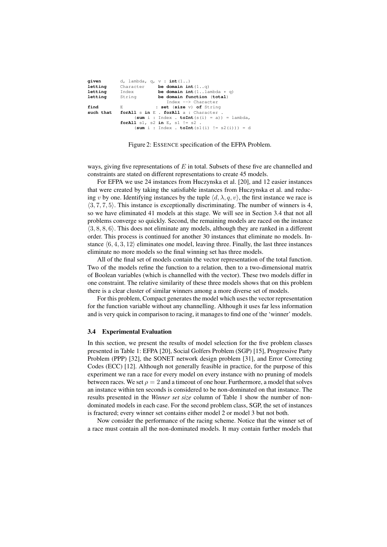| d, lambda, q, $v : int(1, .)$                                                  |
|--------------------------------------------------------------------------------|
| be domain int $(1\, q)$<br>Character                                           |
| be domain int $(1 \dots$ lambda $* q$ )<br>Index                               |
| be domain function (total)<br>String                                           |
| Index --> Character                                                            |
| : set (size v) of String<br>E.                                                 |
| forAll s in E . forAll a : Character .                                         |
| $(\text{sum } i : \text{Index } \cdot \text{toInt}(s(i) = a)) = \text{lambda}$ |
| <b>forAll</b> $s1$ , $s2$ <b>in</b> $E$ , $s1$ $!= s2$ .                       |
| $(\text{sum } i : \text{Index } \cdot \text{toInt}(s1(i)) := s2(i))) = d$      |
|                                                                                |

Figure 2: ESSENCE specification of the EFPA Problem.

ways, giving five representations of  $E$  in total. Subsets of these five are channelled and constraints are stated on different representations to create 45 models.

For EFPA we use 24 instances from Huczynska et al. [20], and 12 easier instances that were created by taking the satisfiable instances from Huczynska et al. and reducing v by one. Identifying instances by the tuple  $\langle d, \lambda, q, v \rangle$ , the first instance we race is  $(3, 7, 7, 5)$ . This instance is exceptionally discriminating. The number of winners is 4, so we have eliminated 41 models at this stage. We will see in Section 3.4 that not all problems converge so quickly. Second, the remaining models are raced on the instance  $\langle 3, 8, 8, 6 \rangle$ . This does not eliminate any models, although they are ranked in a different order. This process is continued for another 30 instances that eliminate no models. Instance  $\langle 6, 4, 3, 12 \rangle$  eliminates one model, leaving three. Finally, the last three instances eliminate no more models so the final winning set has three models.

All of the final set of models contain the vector representation of the total function. Two of the models refine the function to a relation, then to a two-dimensional matrix of Boolean variables (which is channelled with the vector). These two models differ in one constraint. The relative similarity of these three models shows that on this problem there is a clear cluster of similar winners among a more diverse set of models.

For this problem, Compact generates the model which uses the vector representation for the function variable without any channelling. Although it uses far less information and is very quick in comparison to racing, it manages to find one of the 'winner' models.

#### 3.4 Experimental Evaluation

In this section, we present the results of model selection for the five problem classes presented in Table 1: EFPA [20], Social Golfers Problem (SGP) [15], Progressive Party Problem (PPP) [32], the SONET network design problem [31], and Error Correcting Codes (ECC) [12]. Although not generally feasible in practice, for the purpose of this experiment we ran a race for every model on every instance with no pruning of models between races. We set  $\rho = 2$  and a timeout of one hour. Furthermore, a model that solves an instance within ten seconds is considered to be non-dominated on that instance. The results presented in the *Winner set size* column of Table 1 show the number of nondominated models in each case. For the second problem class, SGP, the set of instances is fractured; every winner set contains either model 2 or model 3 but not both.

Now consider the performance of the racing scheme. Notice that the winner set of a race must contain all the non-dominated models. It may contain further models that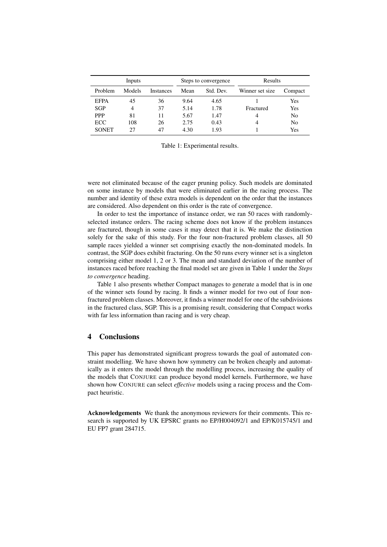| Inputs       |        |                  | Steps to convergence |           | Results         |         |
|--------------|--------|------------------|----------------------|-----------|-----------------|---------|
| Problem      | Models | <b>Instances</b> | Mean                 | Std. Dev. | Winner set size | Compact |
| <b>EFPA</b>  | 45     | 36               | 9.64                 | 4.65      |                 | Yes     |
| SGP          | 4      | 37               | 5.14                 | 1.78      | Fractured       | Yes     |
| <b>PPP</b>   | 81     | 11               | 5.67                 | 1.47      | 4               | No      |
| <b>ECC</b>   | 108    | 26               | 2.75                 | 0.43      | 4               | No      |
| <b>SONET</b> | 27     | 47               | 4.30                 | 1.93      |                 | Yes     |

Table 1: Experimental results.

were not eliminated because of the eager pruning policy. Such models are dominated on some instance by models that were eliminated earlier in the racing process. The number and identity of these extra models is dependent on the order that the instances are considered. Also dependent on this order is the rate of convergence.

In order to test the importance of instance order, we ran 50 races with randomlyselected instance orders. The racing scheme does not know if the problem instances are fractured, though in some cases it may detect that it is. We make the distinction solely for the sake of this study. For the four non-fractured problem classes, all 50 sample races yielded a winner set comprising exactly the non-dominated models. In contrast, the SGP does exhibit fracturing. On the 50 runs every winner set is a singleton comprising either model 1, 2 or 3. The mean and standard deviation of the number of instances raced before reaching the final model set are given in Table 1 under the *Steps to convergence* heading.

Table 1 also presents whether Compact manages to generate a model that is in one of the winner sets found by racing. It finds a winner model for two out of four nonfractured problem classes. Moreover, it finds a winner model for one of the subdivisions in the fractured class, SGP. This is a promising result, considering that Compact works with far less information than racing and is very cheap.

## 4 Conclusions

This paper has demonstrated significant progress towards the goal of automated constraint modelling. We have shown how symmetry can be broken cheaply and automatically as it enters the model through the modelling process, increasing the quality of the models that CONJURE can produce beyond model kernels. Furthermore, we have shown how CONJURE can select *effective* models using a racing process and the Compact heuristic.

Acknowledgements We thank the anonymous reviewers for their comments. This research is supported by UK EPSRC grants no EP/H004092/1 and EP/K015745/1 and EU FP7 grant 284715.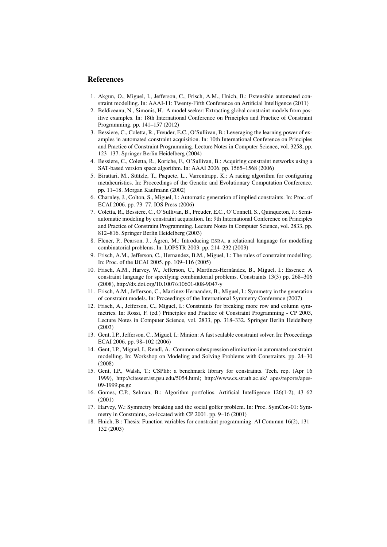# References

- 1. Akgun, O., Miguel, I., Jefferson, C., Frisch, A.M., Hnich, B.: Extensible automated constraint modelling. In: AAAI-11: Twenty-Fifth Conference on Artificial Intelligence (2011)
- 2. Beldiceanu, N., Simonis, H.: A model seeker: Extracting global constraint models from positive examples. In: 18th International Conference on Principles and Practice of Constraint Programming. pp. 141–157 (2012)
- 3. Bessiere, C., Coletta, R., Freuder, E.C., O'Sullivan, B.: Leveraging the learning power of examples in automated constraint acquisition. In: 10th International Conference on Principles and Practice of Constraint Programming. Lecture Notes in Computer Science, vol. 3258, pp. 123–137. Springer Berlin Heidelberg (2004)
- 4. Bessiere, C., Coletta, R., Koriche, F., O'Sullivan, B.: Acquiring constraint networks using a SAT-based version space algorithm. In: AAAI 2006. pp. 1565–1568 (2006)
- 5. Birattari, M., Stützle, T., Paquete, L., Varrentrapp, K.: A racing algorithm for configuring metaheuristics. In: Proceedings of the Genetic and Evolutionary Computation Conference. pp. 11–18. Morgan Kaufmann (2002)
- 6. Charnley, J., Colton, S., Miguel, I.: Automatic generation of implied constraints. In: Proc. of ECAI 2006. pp. 73–77. IOS Press (2006)
- 7. Coletta, R., Bessiere, C., O'Sullivan, B., Freuder, E.C., O'Connell, S., Quinqueton, J.: Semiautomatic modeling by constraint acquisition. In: 9th International Conference on Principles and Practice of Constraint Programming. Lecture Notes in Computer Science, vol. 2833, pp. 812–816. Springer Berlin Heidelberg (2003)
- 8. Flener, P., Pearson, J., Ågren, M.: Introducing ESRA, a relational language for modelling combinatorial problems. In: LOPSTR 2003. pp. 214–232 (2003)
- 9. Frisch, A.M., Jefferson, C., Hernandez, B.M., Miguel, I.: The rules of constraint modelling. In: Proc. of the IJCAI 2005. pp. 109–116 (2005)
- 10. Frisch, A.M., Harvey, W., Jefferson, C., Martínez-Hernández, B., Miguel, I.: Essence: A constraint language for specifying combinatorial problems. Constraints 13(3) pp. 268–306 (2008), http://dx.doi.org/10.1007/s10601-008-9047-y
- 11. Frisch, A.M., Jefferson, C., Martinez-Hernandez, B., Miguel, I.: Symmetry in the generation of constraint models. In: Proceedings of the International Symmetry Conference (2007)
- 12. Frisch, A., Jefferson, C., Miguel, I.: Constraints for breaking more row and column symmetries. In: Rossi, F. (ed.) Principles and Practice of Constraint Programming - CP 2003, Lecture Notes in Computer Science, vol. 2833, pp. 318–332. Springer Berlin Heidelberg (2003)
- 13. Gent, I.P., Jefferson, C., Miguel, I.: Minion: A fast scalable constraint solver. In: Proceedings ECAI 2006. pp. 98–102 (2006)
- 14. Gent, I.P., Miguel, I., Rendl, A.: Common subexpression elimination in automated constraint modelling. In: Workshop on Modeling and Solving Problems with Constraints. pp. 24–30 (2008)
- 15. Gent, I.P., Walsh, T.: CSPlib: a benchmark library for constraints. Tech. rep. (Apr 16 1999), http://citeseer.ist.psu.edu/5054.html; http://www.cs.strath.ac.uk/ apes/reports/apes-09-1999.ps.gz
- 16. Gomes, C.P., Selman, B.: Algorithm portfolios. Artificial Intelligence 126(1-2), 43–62 (2001)
- 17. Harvey, W.: Symmetry breaking and the social golfer problem. In: Proc. SymCon-01: Symmetry in Constraints, co-located with CP 2001. pp. 9–16 (2001)
- 18. Hnich, B.: Thesis: Function variables for constraint programming. AI Commun 16(2), 131– 132 (2003)